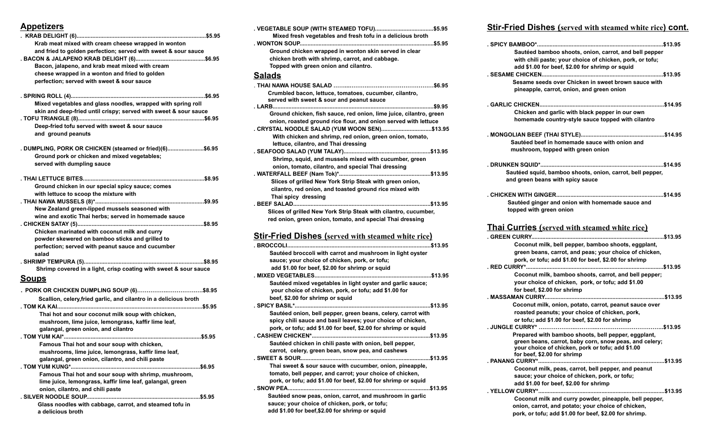# **Appetizers**

| Krab meat mixed with cream cheese wrapped in wonton<br>and fried to golden perfection; served with sweet & sour sauce<br>Bacon, jalapeno, and krab meat mixed with cream<br>cheese wrapped in a wonton and fried to golden |
|----------------------------------------------------------------------------------------------------------------------------------------------------------------------------------------------------------------------------|
| perfection; served with sweet & sour sauce                                                                                                                                                                                 |
| Mixed vegetables and glass noodles, wrapped with spring roll<br>skin and deep-fried until crispy; served with sweet & sour sauce<br>Deep-fried tofu served with sweet & sour sauce<br>and ground peanuts                   |
| . DUMPLING, PORK OR CHICKEN (steamed or fried)(6)\$6.95<br>Ground pork or chicken and mixed vegetables;<br>served with dumpling sauce                                                                                      |
| Ground chicken in our special spicy sauce; comes<br>with lettuce to scoop the mixture with                                                                                                                                 |
| New Zealand green-lipped mussels seasoned with<br>wine and exotic Thai herbs; served in homemade sauce                                                                                                                     |
| Chicken marinated with coconut milk and curry                                                                                                                                                                              |
| powder skewered on bamboo sticks and grilled to<br>perfection; served with peanut sauce and cucumber<br>salad                                                                                                              |
| Shrimp covered in a light, crisp coating with sweet & sour sauce                                                                                                                                                           |
| <u>Soups</u>                                                                                                                                                                                                               |
| Scallion, celery, fried garlic, and cilantro in a delicious broth                                                                                                                                                          |
| Thai hot and sour coconut milk soup with chicken,<br>mushroom, lime juice, lemongrass, kaffir lime leaf,<br>galangal, green onion, and cilantro                                                                            |
| Famous Thai hot and sour soup with chicken,                                                                                                                                                                                |
| mushrooms, lime juice, lemongrass, kaffir lime leaf,<br>galangal, green onion, cilantro, and chili paste                                                                                                                   |
| Famous Thai hot and sour soup with shrimp, mushroom,<br>lime juice, lemongrass, kaffir lime leaf, galangal, green<br>onion, cilantro, and chili paste                                                                      |

**. SILVER NOODLE SOUP........................................................................\$5.95 Glass noodles with cabbage, carrot, and steamed tofu in a delicious broth**

| Mixed fresh vegetables and fresh tofu in a delicious broth                                          |         |
|-----------------------------------------------------------------------------------------------------|---------|
|                                                                                                     | .\$5.95 |
| Ground chicken wrapped in wonton skin served in clear                                               |         |
| chicken broth with shrimp, carrot, and cabbage.                                                     |         |
| Topped with green onion and cilantro.                                                               |         |
| <b>Salads</b>                                                                                       |         |
|                                                                                                     |         |
| Crumbled bacon, lettuce, tomatoes, cucumber, cilantro,<br>served with sweet & sour and peanut sauce |         |
|                                                                                                     |         |
| Ground chicken, fish sauce, red onion, lime juice, cilantro, green                                  |         |
| onion, roasted ground rice flour, and onion served with lettuce                                     |         |
| . CRYSTAL NOODLE SALAD (YUM WOON SEN)\$13.95                                                        |         |
| With chicken and shrimp, red onion, green onion, tomato,                                            |         |
| lettuce, cilantro, and Thai dressing                                                                |         |
|                                                                                                     |         |
| Shrimp, squid, and mussels mixed with cucumber, green                                               |         |
| onion, tomato, cilantro, and special Thai dressing                                                  |         |
|                                                                                                     |         |
| Slices of grilled New York Strip Steak with green onion,                                            |         |
| cilantro, red onion, and toasted ground rice mixed with                                             |         |
| Thai spicy dressing                                                                                 |         |
|                                                                                                     |         |
| Slices of grilled New York Strip Steak with cilantro, cucumber,                                     |         |

#### **Stir-Fried Dishes (served with steamed white rice)**

**red onion, green onion, tomato, and special Thai dressing**

| . BROCCOLI<br>\$13.95                                          |
|----------------------------------------------------------------|
| Sautéed broccoli with carrot and mushroom in light oyster      |
| sauce; your choice of chicken, pork, or tofu;                  |
| add \$1.00 for beef, \$2.00 for shrimp or squid                |
| \$13.95                                                        |
| Sautéed mixed vegetables in light oyster and garlic sauce;     |
| your choice of chicken, pork, or tofu; add \$1.00 for          |
| beef, \$2.00 for shrimp or squid                               |
| \$13.95                                                        |
| Sautéed onion, bell pepper, green beans, celery, carrot with   |
| spicy chili sauce and basil leaves; your choice of chicken,    |
| pork, or tofu; add \$1.00 for beef, \$2.00 for shrimp or squid |
| <b>CASHEW CHICKEN*.</b><br>.\$13.95                            |
| Sautéed chicken in chili paste with onion, bell pepper,        |
| carrot, celery, green bean, snow pea, and cashews              |
| . SWEET & SOUR<br>\$13.95                                      |
| Thai sweet & sour sauce with cucumber, onion, pineapple,       |
| tomato, bell pepper, and carrot; your choice of chicken,       |
| pork, or tofu; add \$1.00 for beef, \$2.00 for shrimp or squid |
| \$13.95                                                        |
| Sautéed snow peas, onion, carrot, and mushroom in garlic       |
| sauce; your choice of chicken, pork, or tofu;                  |
| add \$1.00 for beef,\$2.00 for shrimp or squid                 |

## **Stir-Fried Dishes (served with steamed white rice) cont.**

| Sautéed bamboo shoots, onion, carrot, and bell pepper     |
|-----------------------------------------------------------|
| with chili paste; your choice of chicken, pork, or tofu;  |
| add \$1.00 for beef, \$2.00 for shrimp or squid           |
|                                                           |
| Sesame seeds over Chicken in sweet brown sauce with       |
|                                                           |
| pineapple, carrot, onion, and green onion                 |
|                                                           |
|                                                           |
| Chicken and garlic with black pepper in our own           |
| homemade country-style sauce topped with cilantro         |
|                                                           |
|                                                           |
| Sautéed beef in homemade sauce with onion and             |
| mushroom, topped with green onion                         |
|                                                           |
|                                                           |
| Sautéed squid, bamboo shoots, onion, carrot, bell pepper, |
| and green beans with spicy sauce                          |
|                                                           |
|                                                           |
| Sautéed ginger and onion with homemade sauce and          |
|                                                           |
| topped with green onion                                   |
|                                                           |
| <b>Thai Curries</b> (served with steamed white rice)      |
|                                                           |
| Coconut milk, bell pepper, bamboo shoots, eggplant,       |
| green beans, carrot, and peas; your choice of chicken,    |
| pork, or tofu; add \$1.00 for beef, \$2.00 for shrimp     |
|                                                           |
|                                                           |
| Coconut milk, bamboo shoots, carrot, and bell pepper;     |
| your choice of chicken, pork, or tofu; add \$1.00         |
| for beef, \$2.00 for shrimp                               |
|                                                           |
| Coconut milk, onion, potato, carrot, peanut sauce over    |
| roasted peanuts; your choice of chicken, pork,            |
| or tofu; add \$1.00 for beef, \$2.00 for shrimp           |
| \$13.95                                                   |
| Prepared with bamboo shoots, bell pepper, eggplant,       |
| green beans, carrot, baby corn, snow peas, and celery;    |
| your choice of chicken, pork or tofu; add \$1.00          |
| for beef, \$2.00 for shrimp                               |
|                                                           |
| Coconut milk, peas, carrot, bell pepper, and peanut       |
| sauce; your choice of chicken, pork, or tofu;             |
| add \$1.00 for beef, \$2.00 for shrimp                    |
|                                                           |
| Coconut milk and curry powder, pineapple, bell pepper,    |
| onion, carrot, and potato; your choice of chicken,        |
| pork, or tofu; add \$1.00 for beef, \$2.00 for shrimp.    |
|                                                           |